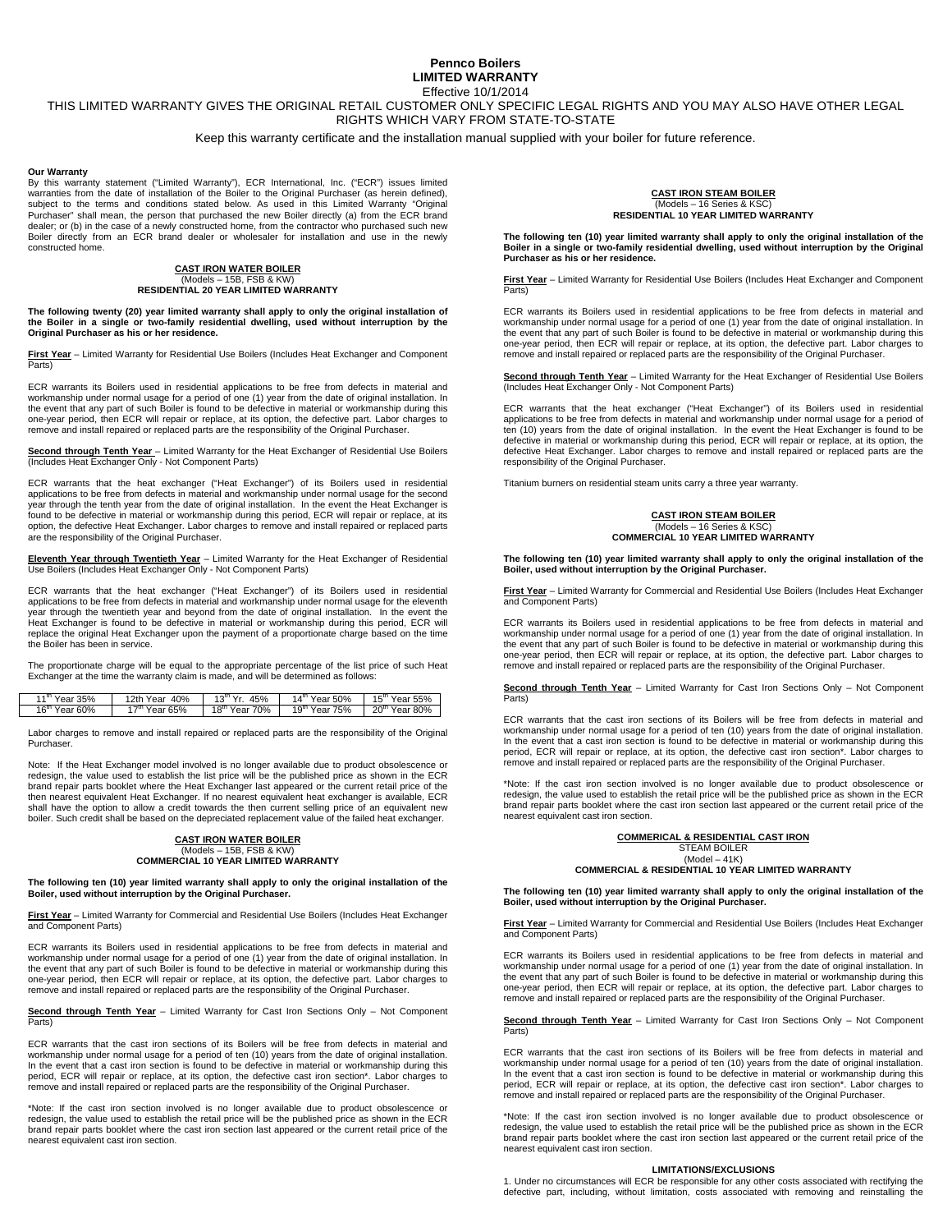#### **Pennco Boilers LIMITED WARRANTY**  Effective 10/1/2014

## THIS LIMITED WARRANTY GIVES THE ORIGINAL RETAIL CUSTOMER ONLY SPECIFIC LEGAL RIGHTS AND YOU MAY ALSO HAVE OTHER LEGAL RIGHTS WHICH VARY FROM STATE-TO-STATE

Keep this warranty certificate and the installation manual supplied with your boiler for future reference.

#### **Our Warranty**

By this warranty statement ("Limited Warranty"), ECR International, Inc. ("ECR") issues limited warranties from the date of installation of the Boiler to the Original Purchaser (as herein defined), subject to the terms and conditions stated below. As used in this Limited Warranty "Original Purchaser" shall mean, the person that purchased the new Boiler directly (a) from the ECR brand dealer; or (b) in the case of a newly constructed home, from the contractor who purchased such new Boiler directly from an ECR brand dealer or wholesaler for installation and use in the newly constructed home.

## **CAST IRON WATER BOILER**  (Models – 15B, FSB & KW) **RESIDENTIAL 20 YEAR LIMITED WARRANTY**

**The following twenty (20) year limited warranty shall apply to only the original installation of the Boiler in a single or two-family residential dwelling, used without interruption by the Original Purchaser as his or her residence.** 

**First Year** – Limited Warranty for Residential Use Boilers (Includes Heat Exchanger and Component Parts)

ECR warrants its Boilers used in residential applications to be free from defects in material and workmanship under normal usage for a period of one (1) year from the date of original installation. In the event that any part of such Boiler is found to be defective in material or workmanship during this one-year period, then ECR will repair or replace, at its option, the defective part. Labor charges to remove and install repaired or replaced parts are the responsibility of the Original Purchaser.

**Second through Tenth Year** – Limited Warranty for the Heat Exchanger of Residential Use Boilers (Includes Heat Exchanger Only - Not Component Parts)

ECR warrants that the heat exchanger ("Heat Exchanger") of its Boilers used in residential applications to be free from defects in material and workmanship under normal usage for the second year through the tenth year from the date of original installation. In the event the Heat Exchanger is found to be defective in material or workmanship during this period, ECR will repair or replace, at its option, the defective Heat Exchanger. Labor charges to remove and install repaired or replaced parts are the responsibility of the Original Purchaser.

**Eleventh Year through Twentieth Year** – Limited Warranty for the Heat Exchanger of Residential Use Boilers (Includes Heat Exchanger Only - Not Component Parts)

ECR warrants that the heat exchanger ("Heat Exchanger") of its Boilers used in residential applications to be free from defects in material and workmanship under normal usage for the eleventh year through the twentieth year and beyond from the date of original installation. In the event the Heat Exchanger is found to be defective in material or workmanship during this period, ECR will replace the original Heat Exchanger upon the payment of a proportionate charge based on the time the Boiler has been in service.

The proportionate charge will be equal to the appropriate percentage of the list price of such Heat Exchanger at the time the warranty claim is made, and will be determined as follows:

| $1^{\mathrm{m}}$ Year 35% | 12th Year 40%             | $13^{th}$ Yr 45%      | $14^{\text{m}}$ Year 50%   | $15^{\text{m}}$ Year 55% |
|---------------------------|---------------------------|-----------------------|----------------------------|--------------------------|
| $16^{\text{m}}$ Year 60%  | 17 <sup>th</sup> Year 65% | $18^{\rm m}$ Year 70% | $19^{\mathrm{m}}$ Year 75% | $20^{\rm m}$ Year 80%    |

Labor charges to remove and install repaired or replaced parts are the responsibility of the Original Purchaser.

Note: If the Heat Exchanger model involved is no longer available due to product obsolescence or redesign, the value used to establish the list price will be the published price as shown in the ECR brand repair parts booklet where the Heat Exchanger last appeared or the current retail price of the then nearest equivalent Heat Exchanger. If no nearest equivalent heat exchanger is available, ECR shall have the option to allow a credit towards the then current selling price of an equivalent new boiler. Such credit shall be based on the depreciated replacement value of the failed heat exchanger.

## **CAST IRON WATER BOILER**  (Models – 15B, FSB & KW) **COMMERCIAL 10 YEAR LIMITED WARRANTY**

**The following ten (10) year limited warranty shall apply to only the original installation of the Boiler, used without interruption by the Original Purchaser.** 

**First Year** – Limited Warranty for Commercial and Residential Use Boilers (Includes Heat Exchanger and Component Parts)

ECR warrants its Boilers used in residential applications to be free from defects in material and workmanship under normal usage for a period of one (1) year from the date of original installation. In the event that any part of such Boiler is found to be defective in material or workmanship during this one-year period, then ECR will repair or replace, at its option, the defective part. Labor charges to remove and install repaired or replaced parts are the responsibility of the Original Purchaser.

**Second through Tenth Year** – Limited Warranty for Cast Iron Sections Only – Not Component Parts)

ECR warrants that the cast iron sections of its Boilers will be free from defects in material and workmanship under normal usage for a period of ten (10) years from the date of original installation. In the event that a cast iron section is found to be defective in material or workmanship during this period, ECR will repair or replace, at its option, the defective cast iron section\*. Labor charges to remove and install repaired or replaced parts are the responsibility of the Original Purchaser.

\*Note: If the cast iron section involved is no longer available due to product obsolescence or redesign, the value used to establish the retail price will be the published price as shown in the ECR brand repair parts booklet where the cast iron section last appeared or the current retail price of the nearest equivalent cast iron section.

# **CAST IRON STEAM BOILER**  (Models – 16 Series & KSC) **RESIDENTIAL 10 YEAR LIMITED WARRANTY**

**The following ten (10) year limited warranty shall apply to only the original installation of the Boiler in a single or two-family residential dwelling, used without interruption by the Original Purchaser as his or her residence.** 

**First Year** – Limited Warranty for Residential Use Boilers (Includes Heat Exchanger and Component Parts)

ECR warrants its Boilers used in residential applications to be free from defects in material and workmanship under normal usage for a period of one (1) year from the date of original installation. In the event that any part of such Boiler is found to be defective in material or workmanship during this one-year period, then ECR will repair or replace, at its option, the defective part. Labor charges to remove and install repaired or replaced parts are the responsibility of the Original Purchaser.

**Second through Tenth Year** – Limited Warranty for the Heat Exchanger of Residential Use Boilers (Includes Heat Exchanger Only - Not Component Parts)

ECR warrants that the heat exchanger ("Heat Exchanger") of its Boilers used in residential applications to be free from defects in material and workmanship under normal usage for a period of ten (10) years from the date of original installation. In the event the Heat Exchanger is found to be defective in material or workmanship during this period, ECR will repair or replace, at its option, the defective Heat Exchanger. Labor charges to remove and install repaired or replaced parts are the responsibility of the Original Purchaser.

Titanium burners on residential steam units carry a three year warranty.

## **CAST IRON STEAM BOILER**  (Models – 16 Series & KSC) **COMMERCIAL 10 YEAR LIMITED WARRANTY**

**The following ten (10) year limited warranty shall apply to only the original installation of the Boiler, used without interruption by the Original Purchaser.** 

**First Year** – Limited Warranty for Commercial and Residential Use Boilers (Includes Heat Exchanger and Component Parts)

ECR warrants its Boilers used in residential applications to be free from defects in material and workmanship under normal usage for a period of one (1) year from the date of original installation. In the event that any part of such Boiler is found to be defective in material or workmanship during this one-year period, then ECR will repair or replace, at its option, the defective part. Labor charges to remove and install repaired or replaced parts are the responsibility of the Original Purchaser.

**Second through Tenth Year** – Limited Warranty for Cast Iron Sections Only – Not Component Parts)

ECR warrants that the cast iron sections of its Boilers will be free from defects in material and workmanship under normal usage for a period of ten (10) years from the date of original installation. In the event that a cast iron section is found to be defective in material or workmanship during this period, ECR will repair or replace, at its option, the defective cast iron section\*. Labor charges to remove and install repaired or replaced parts are the responsibility of the Original Purchaser.

\*Note: If the cast iron section involved is no longer available due to product obsolescence or redesign, the value used to establish the retail price will be the published price as shown in the ECR brand repair parts booklet where the cast iron section last appeared or the current retail price of the nearest equivalent cast iron section.

#### **COMMERICAL & RESIDENTIAL CAST IRON**

STEAM BOILER  $(Model - 41K)$ 

**COMMERCIAL & RESIDENTIAL 10 YEAR LIMITED WARRANTY** 

**The following ten (10) year limited warranty shall apply to only the original installation of the Boiler, used without interruption by the Original Purchaser.** 

**First Year** – Limited Warranty for Commercial and Residential Use Boilers (Includes Heat Exchanger and Component Parts)

ECR warrants its Boilers used in residential applications to be free from defects in material and workmanship under normal usage for a period of one (1) year from the date of original installation. In the event that any part of such Boiler is found to be defective in material or workmanship during this one-year period, then ECR will repair or replace, at its option, the defective part. Labor charges to remove and install repaired or replaced parts are the responsibility of the Original Purchaser.

**Second through Tenth Year** – Limited Warranty for Cast Iron Sections Only – Not Component Parts)

ECR warrants that the cast iron sections of its Boilers will be free from defects in material and workmanship under normal usage for a period of ten (10) years from the date of original installation. In the event that a cast iron section is found to be defective in material or workmanship during this period, ECR will repair or replace, at its option, the defective cast iron section\*. Labor charges to remove and install repaired or replaced parts are the responsibility of the Original Purchaser.

\*Note: If the cast iron section involved is no longer available due to product obsolescence or redesign, the value used to establish the retail price will be the published price as shown in the ECR brand repair parts booklet where the cast iron section last appeared or the current retail price of the nearest equivalent cast iron section.

#### **LIMITATIONS/EXCLUSIONS**

1. Under no circumstances will ECR be responsible for any other costs associated with rectifying the defective part, including, without limitation, costs associated with removing and reinstalling the